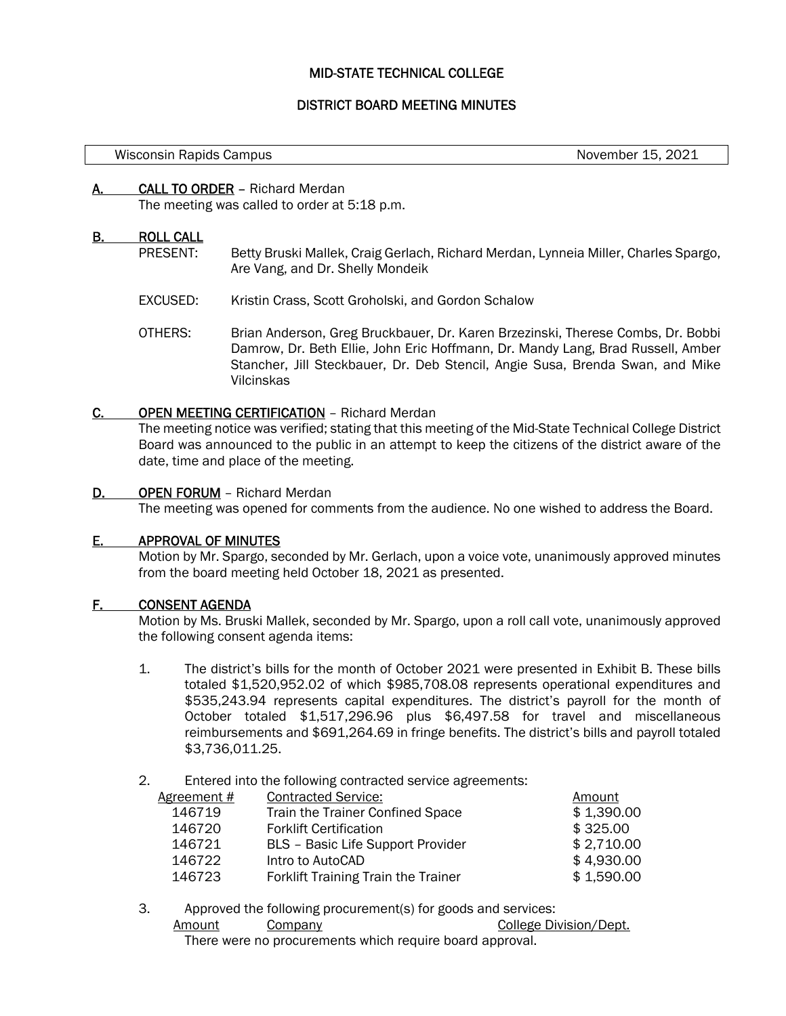# MID-STATE TECHNICAL COLLEGE

# DISTRICT BOARD MEETING MINUTES

November 15, 2021

### A. CALL TO ORDER – Richard Merdan

The meeting was called to order at 5:18 p.m.

#### B. ROLL CALL

- PRESENT: Betty Bruski Mallek, Craig Gerlach, Richard Merdan, Lynneia Miller, Charles Spargo, Are Vang, and Dr. Shelly Mondeik
- EXCUSED: Kristin Crass, Scott Groholski, and Gordon Schalow
- OTHERS: Brian Anderson, Greg Bruckbauer, Dr. Karen Brzezinski, Therese Combs, Dr. Bobbi Damrow, Dr. Beth Ellie, John Eric Hoffmann, Dr. Mandy Lang, Brad Russell, Amber Stancher, Jill Steckbauer, Dr. Deb Stencil, Angie Susa, Brenda Swan, and Mike Vilcinskas

#### C. OPEN MEETING CERTIFICATION – Richard Merdan

The meeting notice was verified; stating that this meeting of the Mid-State Technical College District Board was announced to the public in an attempt to keep the citizens of the district aware of the date, time and place of the meeting.

#### D. OPEN FORUM – Richard Merdan

The meeting was opened for comments from the audience. No one wished to address the Board.

# E. APPROVAL OF MINUTES

Motion by Mr. Spargo, seconded by Mr. Gerlach, upon a voice vote, unanimously approved minutes from the board meeting held October 18, 2021 as presented.

# F. CONSENT AGENDA

Motion by Ms. Bruski Mallek, seconded by Mr. Spargo, upon a roll call vote, unanimously approved the following consent agenda items:

- 1. The district's bills for the month of October 2021 were presented in Exhibit B. These bills totaled \$1,520,952.02 of which \$985,708.08 represents operational expenditures and \$535,243.94 represents capital expenditures. The district's payroll for the month of October totaled \$1,517,296.96 plus \$6,497.58 for travel and miscellaneous reimbursements and \$691,264.69 in fringe benefits. The district's bills and payroll totaled \$3,736,011.25.
- 2. Entered into the following contracted service agreements:

| <b>Contracted Service:</b><br>Agreement #<br>Amount |            |
|-----------------------------------------------------|------------|
| Train the Trainer Confined Space<br>146719          | \$1,390.00 |
| <b>Forklift Certification</b><br>146720             | \$325.00   |
| 146721<br><b>BLS</b> - Basic Life Support Provider  | \$2,710.00 |
| 146722<br>Intro to AutoCAD                          | \$4,930.00 |
| 146723<br>Forklift Training Train the Trainer       | \$1,590.00 |

3. Approved the following procurement(s) for goods and services: Amount Company College Division/Dept. There were no procurements which require board approval.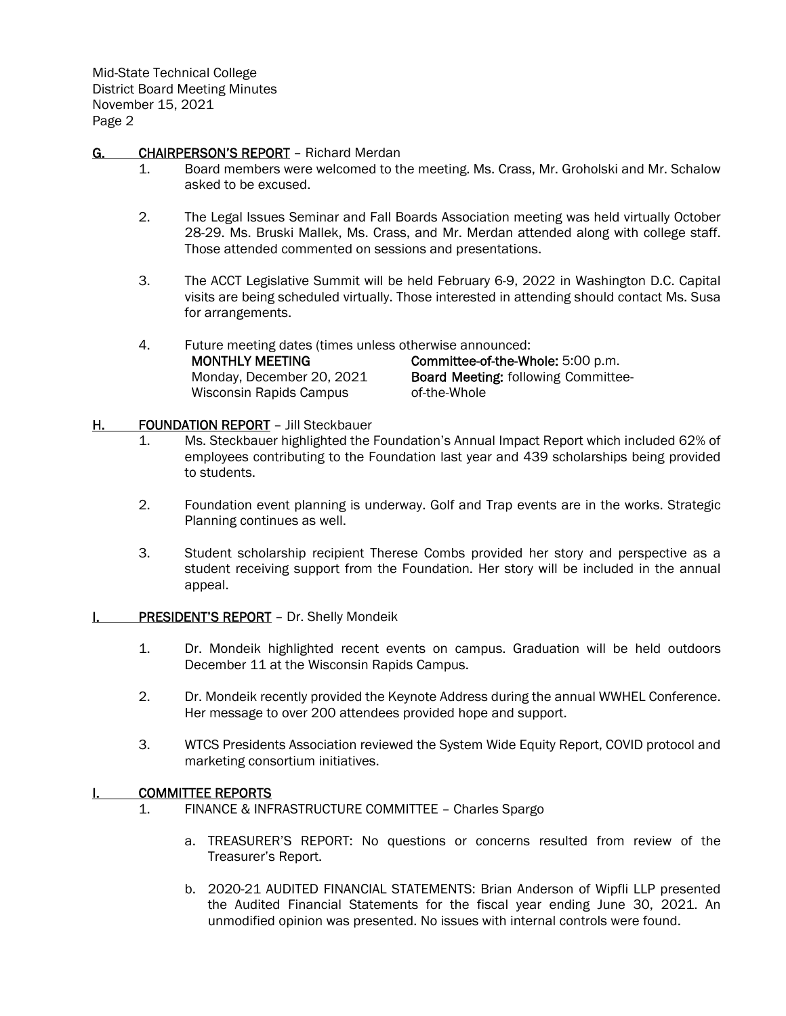Mid-State Technical College District Board Meeting Minutes November 15, 2021 Page 2

# G. CHAIRPERSON'S REPORT - Richard Merdan

- 1. Board members were welcomed to the meeting. Ms. Crass, Mr. Groholski and Mr. Schalow asked to be excused.
- 2. The Legal Issues Seminar and Fall Boards Association meeting was held virtually October 28-29. Ms. Bruski Mallek, Ms. Crass, and Mr. Merdan attended along with college staff. Those attended commented on sessions and presentations.
- 3. The ACCT Legislative Summit will be held February 6-9, 2022 in Washington D.C. Capital visits are being scheduled virtually. Those interested in attending should contact Ms. Susa for arrangements.

4. Future meeting dates (times unless otherwise announced:

MONTHLY MEETING Monday, December 20, 2021 Wisconsin Rapids Campus

Committee-of-the-Whole: 5:00 p.m. Board Meeting: following Committeeof-the-Whole

# H. FOUNDATION REPORT - Jill Steckbauer

- 1. Ms. Steckbauer highlighted the Foundation's Annual Impact Report which included 62% of employees contributing to the Foundation last year and 439 scholarships being provided to students.
- 2. Foundation event planning is underway. Golf and Trap events are in the works. Strategic Planning continues as well.
- 3. Student scholarship recipient Therese Combs provided her story and perspective as a student receiving support from the Foundation. Her story will be included in the annual appeal.
- **I. PRESIDENT'S REPORT** Dr. Shelly Mondeik
	- 1. Dr. Mondeik highlighted recent events on campus. Graduation will be held outdoors December 11 at the Wisconsin Rapids Campus.
	- 2. Dr. Mondeik recently provided the Keynote Address during the annual WWHEL Conference. Her message to over 200 attendees provided hope and support.
	- 3. WTCS Presidents Association reviewed the System Wide Equity Report, COVID protocol and marketing consortium initiatives.

# I. COMMITTEE REPORTS

- 1. FINANCE & INFRASTRUCTURE COMMITTEE Charles Spargo
	- a. TREASURER'S REPORT: No questions or concerns resulted from review of the Treasurer's Report.
	- b. 2020-21 AUDITED FINANCIAL STATEMENTS: Brian Anderson of Wipfli LLP presented the Audited Financial Statements for the fiscal year ending June 30, 2021. An unmodified opinion was presented. No issues with internal controls were found.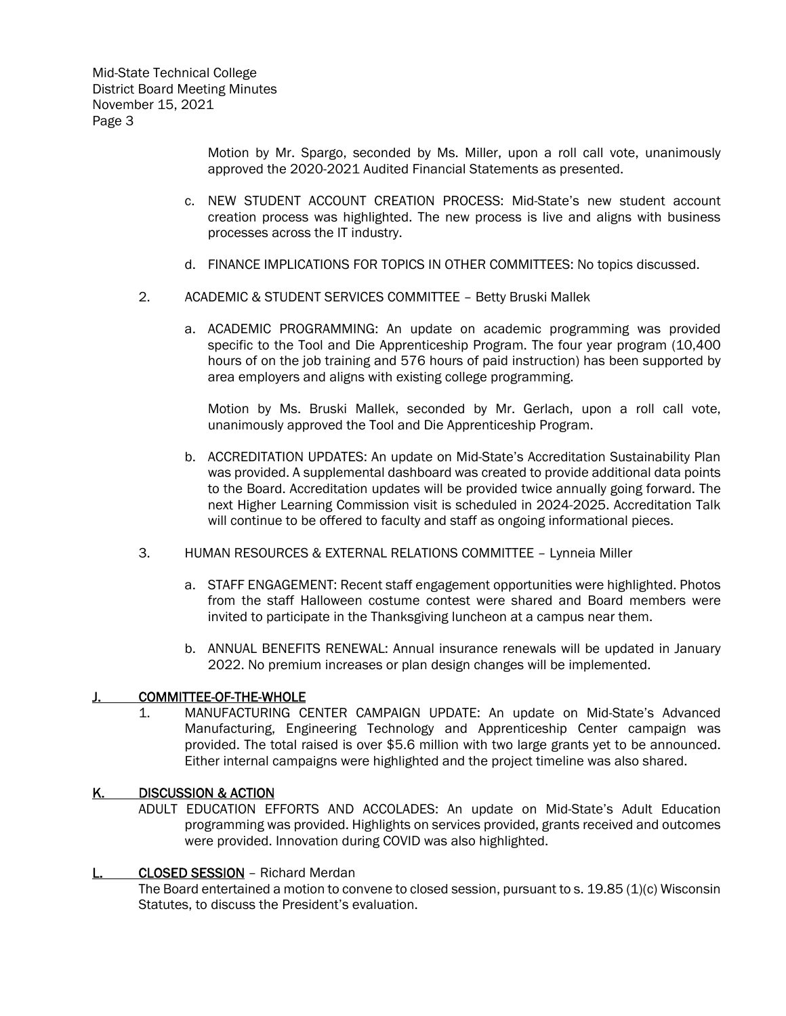Mid-State Technical College District Board Meeting Minutes November 15, 2021 Page 3

> Motion by Mr. Spargo, seconded by Ms. Miller, upon a roll call vote, unanimously approved the 2020-2021 Audited Financial Statements as presented.

- c. NEW STUDENT ACCOUNT CREATION PROCESS: Mid-State's new student account creation process was highlighted. The new process is live and aligns with business processes across the IT industry.
- d. FINANCE IMPLICATIONS FOR TOPICS IN OTHER COMMITTEES: No topics discussed.
- 2. ACADEMIC & STUDENT SERVICES COMMITTEE Betty Bruski Mallek
	- a. ACADEMIC PROGRAMMING: An update on academic programming was provided specific to the Tool and Die Apprenticeship Program. The four year program (10,400 hours of on the job training and 576 hours of paid instruction) has been supported by area employers and aligns with existing college programming.

Motion by Ms. Bruski Mallek, seconded by Mr. Gerlach, upon a roll call vote, unanimously approved the Tool and Die Apprenticeship Program.

- b. ACCREDITATION UPDATES: An update on Mid-State's Accreditation Sustainability Plan was provided. A supplemental dashboard was created to provide additional data points to the Board. Accreditation updates will be provided twice annually going forward. The next Higher Learning Commission visit is scheduled in 2024-2025. Accreditation Talk will continue to be offered to faculty and staff as ongoing informational pieces.
- 3. HUMAN RESOURCES & EXTERNAL RELATIONS COMMITTEE Lynneia Miller
	- a. STAFF ENGAGEMENT: Recent staff engagement opportunities were highlighted. Photos from the staff Halloween costume contest were shared and Board members were invited to participate in the Thanksgiving luncheon at a campus near them.
	- b. ANNUAL BENEFITS RENEWAL: Annual insurance renewals will be updated in January 2022. No premium increases or plan design changes will be implemented.

#### J. COMMITTEE-OF-THE-WHOLE

1. MANUFACTURING CENTER CAMPAIGN UPDATE: An update on Mid-State's Advanced Manufacturing, Engineering Technology and Apprenticeship Center campaign was provided. The total raised is over \$5.6 million with two large grants yet to be announced. Either internal campaigns were highlighted and the project timeline was also shared.

#### K. DISCUSSION & ACTION

ADULT EDUCATION EFFORTS AND ACCOLADES: An update on Mid-State's Adult Education programming was provided. Highlights on services provided, grants received and outcomes were provided. Innovation during COVID was also highlighted.

#### CLOSED SESSION - Richard Merdan

The Board entertained a motion to convene to closed session, pursuant to s. 19.85 (1)(c) Wisconsin Statutes, to discuss the President's evaluation.